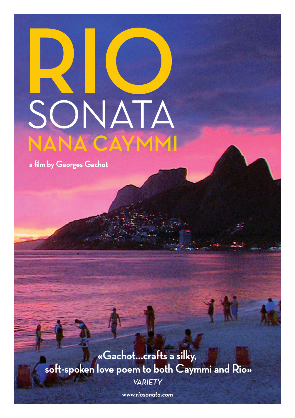# **R** SONATA **IO Nana Caymmi**

**a film by Georges Gachot**

**«Gachot...crafts a silky, soft-spoken love poem to both Caymmi and Rio» Variety**

**www.riosonata.com**